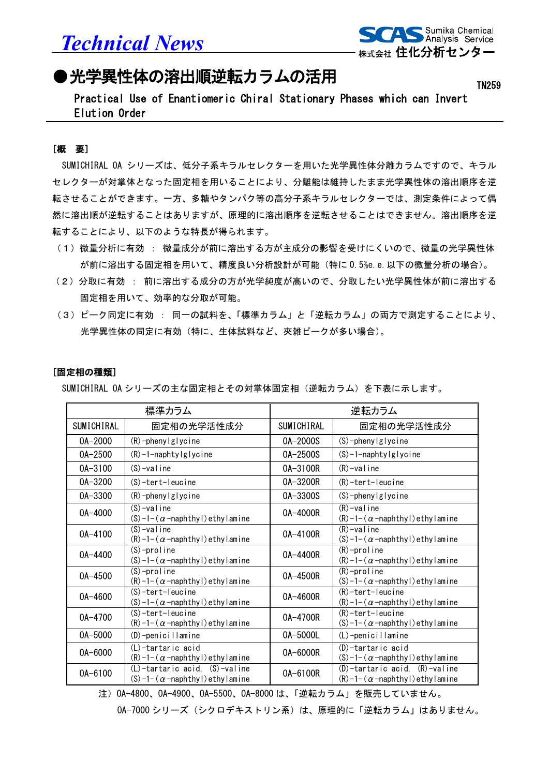*Technical News*



TN259

## ●光学異性体の溶出順逆転カラムの活用

Practical Use of Enantiomeric Chiral Stationary Phases which can Invert Elution Order

## [概 要]

SUMICHIRAL OA シリーズは、低分子系キラルセレクターを用いた光学異性体分離カラムですので、キラル セレクターが対掌体となった固定相を用いることにより、分離能は維持したまま光学異性体の溶出順序を逆 転させることができます。一方、多糖やタンパク等の高分子系キラルセレクターでは、測定条件によって偶 然に溶出順が逆転することはありますが、原理的に溶出順序を逆転させることはできません。溶出順序を逆 転することにより、以下のような特長が得られます。

- (1)微量分析に有効 : 微量成分が前に溶出する方が主成分の影響を受けにくいので、微量の光学異性体 が前に溶出する固定相を用いて、精度良い分析設計が可能(特に 0.5%e.e.以下の微量分析の場合)。
- (2)分取に有効 : 前に溶出する成分の方が光学純度が高いので、分取したい光学異性体が前に溶出する 固定相を用いて、効率的な分取が可能。
- (3)ピーク同定に有効 : 同一の試料を、「標準カラム」と「逆転カラム」の両方で測定することにより、 光学異性体の同定に有効(特に、生体試料など、夾雑ピークが多い場合)。

## [固定相の種類]

SUMICHIRAL OA シリーズの主な固定相とその対掌体固定相(逆転カラム)を下表に示します。

| 標準カラム       |                                                                                | 逆転カラム      |                                                                                |
|-------------|--------------------------------------------------------------------------------|------------|--------------------------------------------------------------------------------|
| SUMICHIRAL  | 固定相の光学活性成分                                                                     | SUMICHIRAL | 固定相の光学活性成分                                                                     |
| $0A - 2000$ | $(R)$ -phenylglycine                                                           | 0A-2000S   | $(S)$ -phenylglycine                                                           |
| $0A - 2500$ | $(R)$ -1-naphtylglycine                                                        | 0A-2500S   | $(S) - 1$ -naphtylglycine                                                      |
| $0A - 3100$ | $(S)$ -valine                                                                  | 0A-3100R   | $(R)$ -valine                                                                  |
| 0A-3200     | $(S)$ -tert-leucine                                                            | 0A-3200R   | $(R)$ -tert-leucine                                                            |
| 0A-3300     | $(R)$ -phenylglycine                                                           | 0A-3300S   | $(S)$ -phenylglycine                                                           |
| $0A - 4000$ | $(S)$ -valine<br>$(S) - 1 - (\alpha - \n 0)$ ethy lamine                       | 0A-4000R   | $(R)$ -valine<br>$(R) - 1 - (\alpha - \n 0)$ ethy lamine                       |
| 0A-4100     | $(S)$ -valine<br>$(R) - 1 - (\alpha - \n 0)$ ethy lamine                       | 0A-4100R   | $(R)$ -valine<br>$(S) - 1 - (\alpha - \n 0)$ ethy lamine                       |
| 0A-4400     | $(S)$ -proline<br>$(S) - 1 - (\alpha - \n 0)$ ethy lamine                      | 0A-4400R   | $(R)$ -proline<br>$(R) - 1 - (\alpha - \n 0)$ ethy lamine                      |
| 0A-4500     | $(S)$ -proline<br>$(R) - 1 - (\alpha - \n 0)$ ethy lamine                      | 0A-4500R   | $(R)$ -proline<br>$(S) - 1 - (\alpha - \n 0)$ ethy lamine                      |
| $0A - 4600$ | $(S)$ -tert-leucine<br>$(S) - 1 - (\alpha - \n 0)$ ethy lamine                 | 0A-4600R   | $(R)$ -tert-leucine<br>$(R) - 1 - (\alpha - \n 0)$ ethy lamine                 |
| 0A-4700     | $(S)$ -tert-leucine<br>$(R) - 1 - (\alpha - \n 0)$ ethy lamine                 | 0A-4700R   | $(R)$ -tert-leucine<br>$(S) - 1 - (\alpha - \n 0)$ ethy lamine                 |
| 0A-5000     | $(D)$ -penicillamine                                                           | 0A-5000L   | (L)-penicillamine                                                              |
| 0A-6000     | (L)-tartaric acid<br>$(R) - 1 - (\alpha - \n 0)$ ethy lamine                   | 0A-6000R   | (D)-tartaric acid<br>$(S) - 1 - (\alpha - \n 0)$ ethy lamine                   |
| $0A - 6100$ | $(L)$ -tartaric acid, $(S)$ -valine<br>$(S) - 1 - (\alpha - \n 0)$ ethy lamine | 0A-6100R   | $(D)$ -tartaric acid, $(R)$ -valine<br>$(R) - 1 - (\alpha - \n 0)$ ethy lamine |

注)OA-4800、OA-4900、OA-5500、OA-8000 は、「逆転カラム」を販売していません。

0A-7000 シリーズ(シクロデキストリン系)は、原理的に「逆転カラム」はありません。